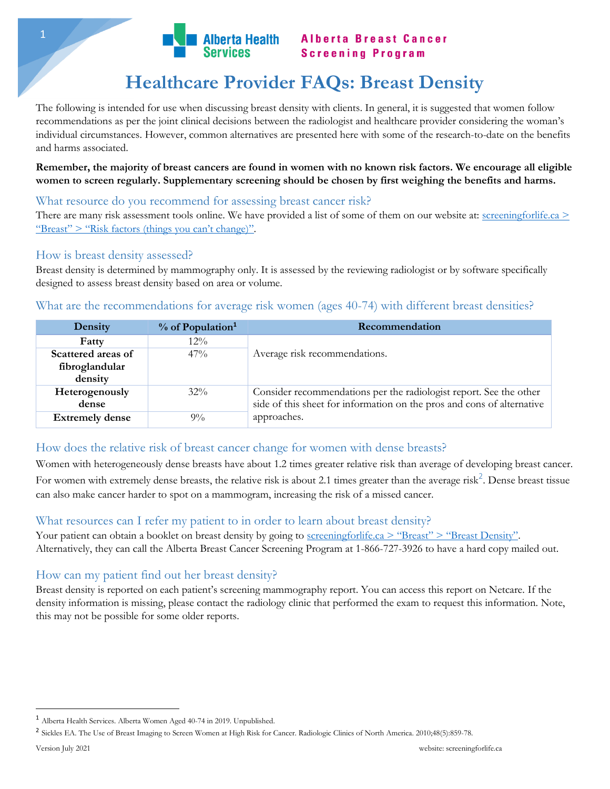

# **Healthcare Provider FAQs: Breast Density**

The following is intended for use when discussing breast density with clients. In general, it is suggested that women follow recommendations as per the joint clinical decisions between the radiologist and healthcare provider considering the woman's individual circumstances. However, common alternatives are presented here with some of the research-to-date on the benefits and harms associated.

**Remember, the majority of breast cancers are found in women with no known risk factors. We encourage all eligible women to screen regularly. Supplementary screening should be chosen by first weighing the benefits and harms.**

### What resource do you recommend for assessing breast cancer risk?

There are many risk assessment tools online. We have provided a list of some of them on our website at: [screeningforlife.ca](https://screeningforlife.ca/breast/breast-cancer/#risk_factors_things_you_can%E2%80%99t_change) > "Breast" > "Risk factors [\(things you can't change\)"](https://screeningforlife.ca/breast/breast-cancer/#risk_factors_things_you_can%E2%80%99t_change).

### How is breast density assessed?

Breast density is determined by mammography only. It is assessed by the reviewing radiologist or by software specifically designed to assess breast density based on area or volume.

## What are the recommendations for average risk women (ages 40-74) with different breast densities?

| Density                                         | $%$ of Population <sup>1</sup> | Recommendation                                                                                                                               |  |  |
|-------------------------------------------------|--------------------------------|----------------------------------------------------------------------------------------------------------------------------------------------|--|--|
| Fatty                                           | $12\%$                         |                                                                                                                                              |  |  |
| Scattered areas of<br>fibroglandular<br>density | $47\%$                         | Average risk recommendations.                                                                                                                |  |  |
| Heterogenously<br>dense                         | $32\%$                         | Consider recommendations per the radiologist report. See the other<br>side of this sheet for information on the pros and cons of alternative |  |  |
| <b>Extremely dense</b>                          | $9\%$                          | approaches.                                                                                                                                  |  |  |

## How does the relative risk of breast cancer change for women with dense breasts?

Women with heterogeneously dense breasts have about 1.2 times greater relative risk than average of developing breast cancer. For women with extremely dense breasts, the relative risk is about 2.1 times greater than the average risk<sup>2</sup>. Dense breast tissue can also make cancer harder to spot on a mammogram, increasing the risk of a missed cancer.

## What resources can I refer my patient to in order to learn about breast density?

Your patient can obtain a booklet on breast density by going to <u>screeningforlife.ca > "Breast" > "Breast Density"</u>. Alternatively, they can call the Alberta Breast Cancer Screening Program at 1-866-727-3926 to have a hard copy mailed out.

## How can my patient find out her breast density?

Breast density is reported on each patient's screening mammography report. You can access this report on Netcare. If the density information is missing, please contact the radiology clinic that performed the exam to request this information. Note, this may not be possible for some older reports.

 $\overline{\phantom{a}}$ 

<sup>1</sup> Alberta Health Services. Alberta Women Aged 40-74 in 2019. Unpublished.

<sup>2</sup> Sickles EA. The Use of Breast Imaging to Screen Women at High Risk for Cancer. Radiologic Clinics of North America. 2010;48(5):859-78.